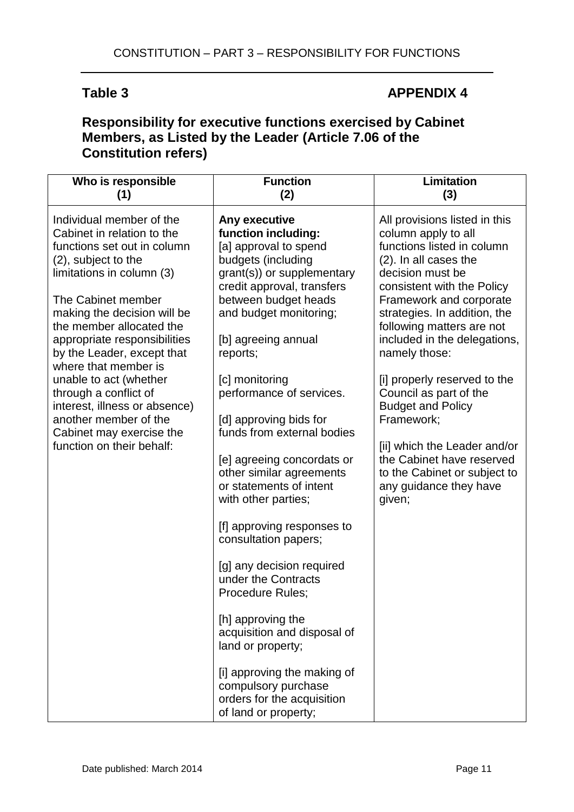## Table 3 **APPENDIX 4**

## **Responsibility for executive functions exercised by Cabinet Members, as Listed by the Leader (Article 7.06 of the Constitution refers)**

| Who is responsible                                                                                                                                                                                                                                                                                                                                                                                                                                                                     | <b>Function</b>                                                                                                                                                                                                                                                                                                                                                                                                                                                                                                                                                                                                                                                                                                                                                           | Limitation                                                                                                                                                                                                                                                                                                                                                                                                                                                                                                                                  |
|----------------------------------------------------------------------------------------------------------------------------------------------------------------------------------------------------------------------------------------------------------------------------------------------------------------------------------------------------------------------------------------------------------------------------------------------------------------------------------------|---------------------------------------------------------------------------------------------------------------------------------------------------------------------------------------------------------------------------------------------------------------------------------------------------------------------------------------------------------------------------------------------------------------------------------------------------------------------------------------------------------------------------------------------------------------------------------------------------------------------------------------------------------------------------------------------------------------------------------------------------------------------------|---------------------------------------------------------------------------------------------------------------------------------------------------------------------------------------------------------------------------------------------------------------------------------------------------------------------------------------------------------------------------------------------------------------------------------------------------------------------------------------------------------------------------------------------|
| (1)                                                                                                                                                                                                                                                                                                                                                                                                                                                                                    | (2)                                                                                                                                                                                                                                                                                                                                                                                                                                                                                                                                                                                                                                                                                                                                                                       | (3)                                                                                                                                                                                                                                                                                                                                                                                                                                                                                                                                         |
| Individual member of the<br>Cabinet in relation to the<br>functions set out in column<br>(2), subject to the<br>limitations in column (3)<br>The Cabinet member<br>making the decision will be<br>the member allocated the<br>appropriate responsibilities<br>by the Leader, except that<br>where that member is<br>unable to act (whether<br>through a conflict of<br>interest, illness or absence)<br>another member of the<br>Cabinet may exercise the<br>function on their behalf: | Any executive<br>function including:<br>[a] approval to spend<br>budgets (including<br>grant(s)) or supplementary<br>credit approval, transfers<br>between budget heads<br>and budget monitoring;<br>[b] agreeing annual<br>reports;<br>[c] monitoring<br>performance of services.<br>[d] approving bids for<br>funds from external bodies<br>[e] agreeing concordats or<br>other similar agreements<br>or statements of intent<br>with other parties;<br>[f] approving responses to<br>consultation papers;<br>[g] any decision required<br>under the Contracts<br>Procedure Rules;<br>[h] approving the<br>acquisition and disposal of<br>land or property;<br>[i] approving the making of<br>compulsory purchase<br>orders for the acquisition<br>of land or property; | All provisions listed in this<br>column apply to all<br>functions listed in column<br>(2). In all cases the<br>decision must be<br>consistent with the Policy<br>Framework and corporate<br>strategies. In addition, the<br>following matters are not<br>included in the delegations,<br>namely those:<br>[i] properly reserved to the<br>Council as part of the<br><b>Budget and Policy</b><br>Framework;<br>[ii] which the Leader and/or<br>the Cabinet have reserved<br>to the Cabinet or subject to<br>any guidance they have<br>given; |